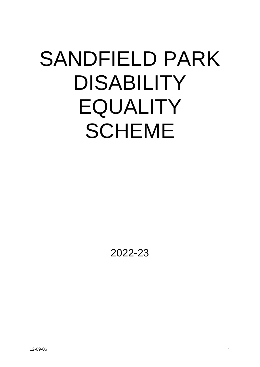# SANDFIELD PARK DISABILITY EQUALITY SCHEME

2022-23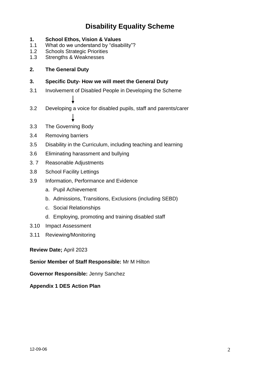# **Disability Equality Scheme**

- **1. School Ethos, Vision & Values**
- 1.1 What do we understand by "disability"?
- 1.2 Schools Strategic Priorities
- 1.3 Strengths & Weaknesses

# **2. The General Duty**

## **3. Specific Duty- How we will meet the General Duty**

- 3.1 Involvement of Disabled People in Developing the Scheme
- 3.2 Developing a voice for disabled pupils, staff and parents/carer
- 3.3 The Governing Body
- 3.4 Removing barriers
- 3.5 Disability in the Curriculum, including teaching and learning
- 3.6 Eliminating harassment and bullying
- 3. 7 Reasonable Adjustments
- 3.8 School Facility Lettings
- 3.9 Information, Performance and Evidence
	- a. Pupil Achievement
	- b. Admissions, Transitions, Exclusions (including SEBD)
	- c. Social Relationships
	- d. Employing, promoting and training disabled staff
- 3.10 Impact Assessment
- 3.11 Reviewing/Monitoring

# **Review Date;** April 2023

#### **Senior Member of Staff Responsible:** Mr M Hilton

**Governor Responsible:** Jenny Sanchez

**Appendix 1 DES Action Plan**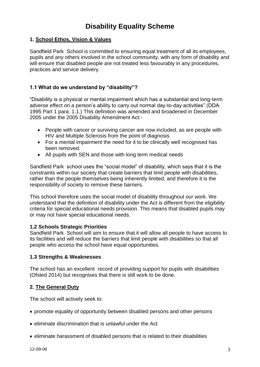# **Disability Equality Scheme**

# **1. School Ethos, Vision & Values**

Sandfield Park School is committed to ensuring equal treatment of all its employees, pupils and any others involved in the school community, with any form of disability and will ensure that disabled people are not treated less favourably in any procedures, practices and service delivery.

# **1.1 What do we understand by "disability"?**

"Disability is a physical or mental impairment which has a substantial and long-term adverse effect on a person's ability to carry out normal day-to-day activities" (DDA 1995 Part 1 para. 1.1.) This definition was amended and broadened in December 2005 under the 2005 Disability Amendment Act:-

- People with cancer or surviving cancer are now included, as are people with HIV and Multiple Sclerosis from the point of diagnosis
- For a mental impairment the need for it to be clinically well recognised has been removed.
- All pupils with SEN and those with long term medical needs

Sandfield Park school uses the "social model" of disability, which says that it is the constraints within our society that create barriers that limit people with disabilities, rather than the people themselves being inherently limited, and therefore it is the responsibility of society to remove these barriers.

This school therefore uses the social model of disability throughout our work. We understand that the definition of disability under the Act is different from the eligibility criteria for special educational needs provision. This means that disabled pupils may or may not have special educational needs.

#### **1.2 Schools Strategic Priorities**

Sandfield Park School will aim to ensure that it will allow all people to have access to its facilities and will reduce the barriers that limit people with disabilities so that all people who access the school have equal opportunities.

#### **1.3 Strengths & Weaknesses**

The school has an excellent record of providing support for pupils with disabilities (Ofsted 2014) but recognises that there is still work to be done.

#### **2. The General Duty**

The school will actively seek to:

- promote equality of opportunity between disabled persons and other persons
- eliminate discrimination that is unlawful under the Act
- eliminate harassment of disabled persons that is related to their disabilities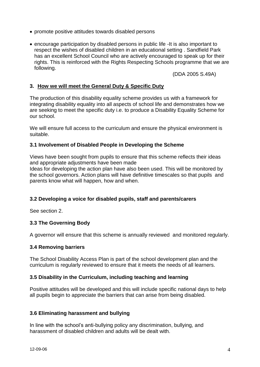- promote positive attitudes towards disabled persons
- encourage participation by disabled persons in public life -It is also important to respect the wishes of disabled children in an educational setting . Sandfield Park has an excellent School Council who are actively encouraged to speak up for their rights. This is reinforced with the Rights Respecting Schools programme that we are following.

(DDA 2005 S.49A)

# **3. How we will meet the General Duty & Specific Duty**

The production of this disability equality scheme provides us with a framework for integrating disability equality into all aspects of school life and demonstrates how we are seeking to meet the specific duty i.e. to produce a Disability Equality Scheme for our school.

We will ensure full access to the curriculum and ensure the physical environment is suitable.

#### **3.1 Involvement of Disabled People in Developing the Scheme**

Views have been sought from pupils to ensure that this scheme reflects their ideas and appropriate adjustments have been made

Ideas for developing the action plan have also been used. This will be monitored by the school governors. Action plans will have definitive timescales so that pupils and parents know what will happen, how and when.

# **3.2 Developing a voice for disabled pupils, staff and parents/carers**

See section 2.

#### **3.3 The Governing Body**

A governor will ensure that this scheme is annually reviewed and monitored regularly.

#### **3.4 Removing barriers**

The School Disability Access Plan is part of the school development plan and the curriculum is regularly reviewed to ensure that it meets the needs of all learners.

#### **3.5 Disability in the Curriculum, including teaching and learning**

Positive attitudes will be developed and this will include specific national days to help all pupils begin to appreciate the barriers that can arise from being disabled.

#### **3.6 Eliminating harassment and bullying**

In line with the school's anti-bullying policy any discrimination, bullying, and harassment of disabled children and adults will be dealt with.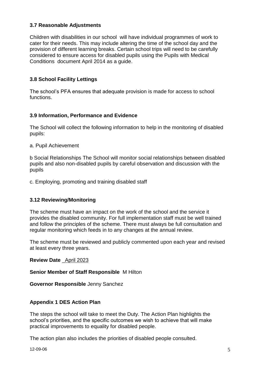# **3.7 Reasonable Adjustments**

Children with disabilities in our school will have individual programmes of work to cater for their needs. This may include altering the time of the school day and the provision of different learning breaks. Certain school trips will need to be carefully considered to ensure access for disabled pupils using the Pupils with Medical Conditions document April 2014 as a guide.

# **3.8 School Facility Lettings**

The school's PFA ensures that adequate provision is made for access to school functions.

#### **3.9 Information, Performance and Evidence**

The School will collect the following information to help in the monitoring of disabled pupils:

a. Pupil Achievement

b Social Relationships The School will monitor social relationships between disabled pupils and also non-disabled pupils by careful observation and discussion with the pupils

c. Employing, promoting and training disabled staff

#### **3.12 Reviewing/Monitoring**

The scheme must have an impact on the work of the school and the service it provides the disabled community. For full implementation staff must be well trained and follow the principles of the scheme. There must always be full consultation and regular monitoring which feeds in to any changes at the annual review.

The scheme must be reviewed and publicly commented upon each year and revised at least every three years.

**Review Date** April 2023

**Senior Member of Staff Responsible** M Hilton

**Governor Responsible** Jenny Sanchez

#### **Appendix 1 DES Action Plan**

The steps the school will take to meet the Duty. The Action Plan highlights the school's priorities, and the specific outcomes we wish to achieve that will make practical improvements to equality for disabled people.

The action plan also includes the priorities of disabled people consulted.